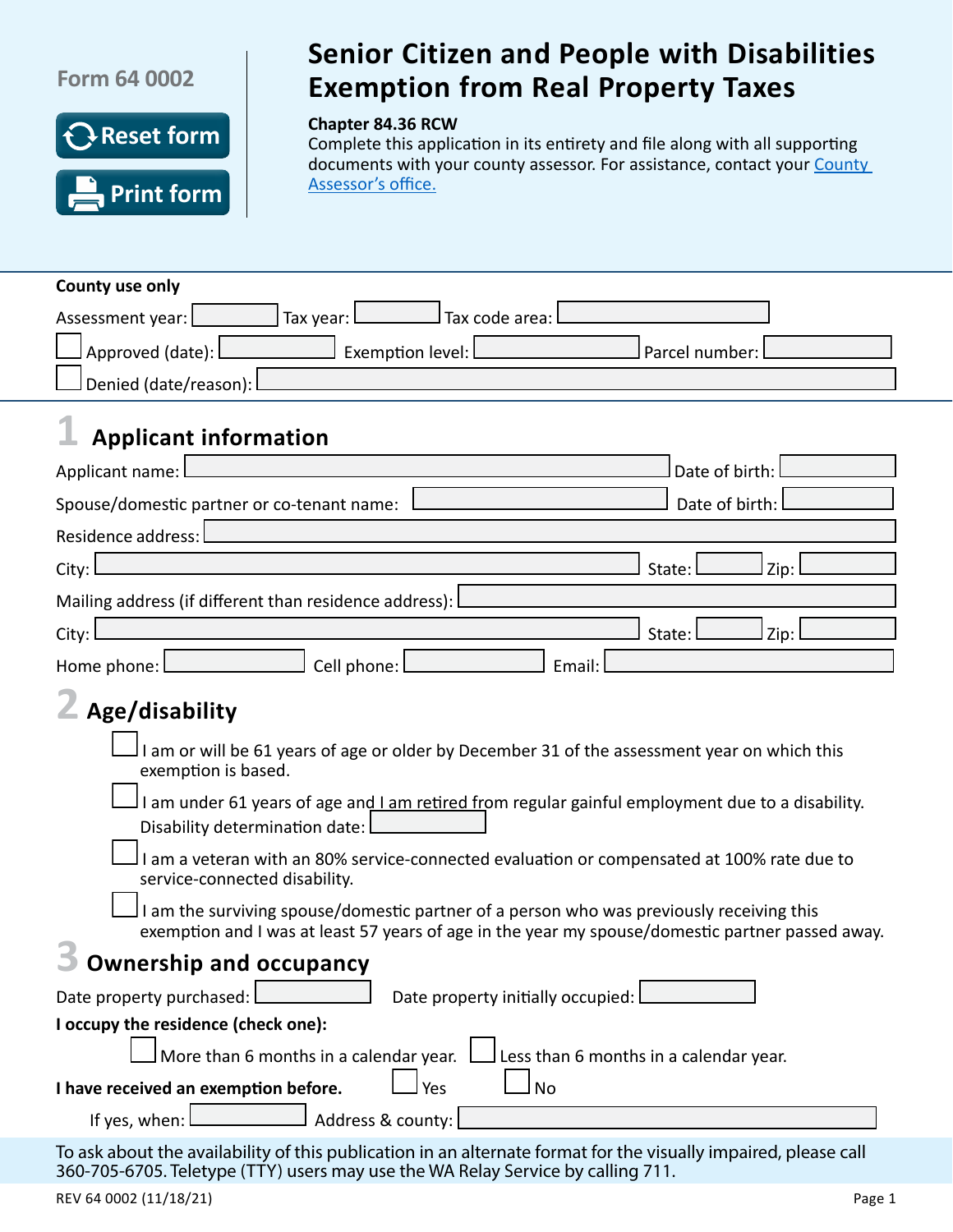## **Form 64 0002**



## Senior Citizen and People with Disabilities Exemption from Real Property Taxes **Senior Citizen and People with Disabilities Exemption from Real Property Taxes**

#### **Chapter 84.36 RCW**

Complete this application in its entirety and file along with all supporting documents with your county assessor. For assistance, contact your County [Assessor's](http://dor.wa.gov/countycontacts) office.

| County use only                                                                                                                                                                                    |
|----------------------------------------------------------------------------------------------------------------------------------------------------------------------------------------------------|
| Tax year:<br>Tax code area:<br>Assessment year:                                                                                                                                                    |
| Approved (date):<br>Exemption level:<br>Parcel number:                                                                                                                                             |
| Denied (date/reason):                                                                                                                                                                              |
|                                                                                                                                                                                                    |
| <b>Applicant information</b>                                                                                                                                                                       |
| Date of birth:<br>Applicant name:                                                                                                                                                                  |
| Date of birth:<br>Spouse/domestic partner or co-tenant name:                                                                                                                                       |
| Residence address:                                                                                                                                                                                 |
| City:<br>Zip:<br>State:                                                                                                                                                                            |
| Mailing address (if different than residence address):                                                                                                                                             |
| City:<br>State:<br>Zip:                                                                                                                                                                            |
| Cell phone:<br>Email:<br>Home phone: L                                                                                                                                                             |
|                                                                                                                                                                                                    |
| Age/disability                                                                                                                                                                                     |
| I am or will be 61 years of age or older by December 31 of the assessment year on which this<br>exemption is based.                                                                                |
| I am under 61 years of age and I am retired from regular gainful employment due to a disability.<br>Disability determination date:                                                                 |
| I am a veteran with an 80% service-connected evaluation or compensated at 100% rate due to<br>service-connected disability.                                                                        |
| I am the surviving spouse/domestic partner of a person who was previously receiving this<br>exemption and I was at least 57 years of age in the year my spouse/domestic partner passed away.       |
| <b>Ownership and occupancy</b>                                                                                                                                                                     |
| Date property initially occupied:<br>Date property purchased:                                                                                                                                      |
| I occupy the residence (check one):                                                                                                                                                                |
| More than 6 months in a calendar year.<br>Less than 6 months in a calendar year.                                                                                                                   |
| Yes<br><b>No</b><br>I have received an exemption before.                                                                                                                                           |
| Address & county:<br>If yes, when:                                                                                                                                                                 |
| To ask about the availability of this publication in an alternate format for the visually impaired, please call<br>360-705-6705. Teletype (TTY) users may use the WA Relay Service by calling 711. |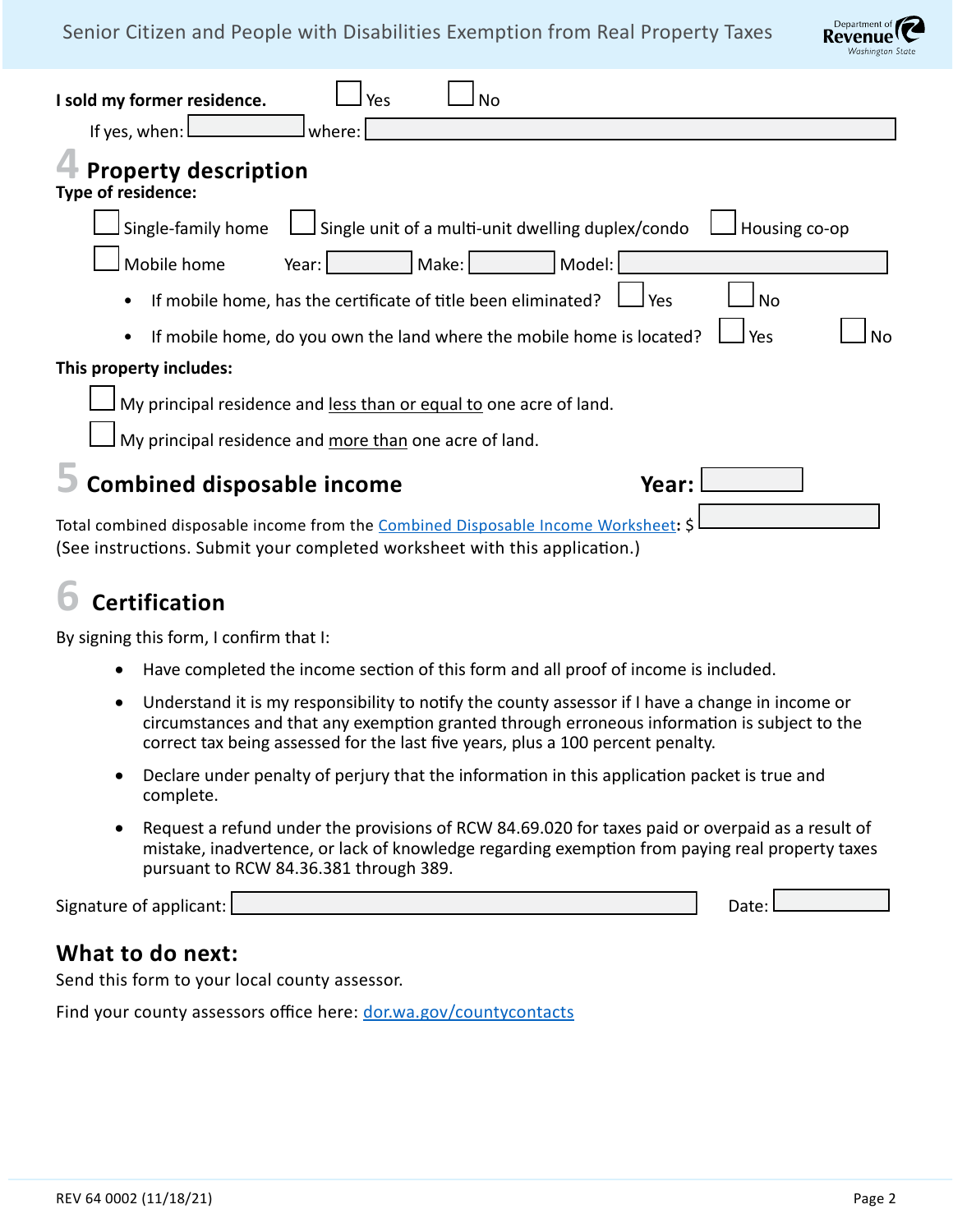### Senior Citizen and People with Disabilities Exemption from Real Property Taxes



| I sold my former residence.<br>Yes<br>No<br>If yes, when: I<br>where:                                                                                            |
|------------------------------------------------------------------------------------------------------------------------------------------------------------------|
| <b>Property description</b><br>Type of residence:                                                                                                                |
| Single unit of a multi-unit dwelling duplex/condo<br>Single-family home<br>Housing co-op                                                                         |
| Mobile home<br>Make:<br>Model:<br>Year:                                                                                                                          |
| If mobile home, has the certificate of title been eliminated?<br>Yes<br>No                                                                                       |
| If mobile home, do you own the land where the mobile home is located?<br>Yes<br>N٥                                                                               |
| This property includes:                                                                                                                                          |
| My principal residence and less than or equal to one acre of land.                                                                                               |
| My principal residence and more than one acre of land.                                                                                                           |
| <b>Combined disposable income</b><br>Year:                                                                                                                       |
| Total combined disposable income from the Combined Disposable Income Worksheet: \$<br>(See instructions. Submit your completed worksheet with this application.) |

# **6 Certification**

By signing this form, I confirm that I:

- Have completed the income section of this form and all proof of income is included.
- Understand it is my responsibility to notify the county assessor if I have a change in income or circumstances and that any exemption granted through erroneous information is subject to the correct tax being assessed for the last five years, plus a 100 percent penalty.
- Declare under penalty of perjury that the information in this application packet is true and complete.
- Request a refund under the provisions of RCW 84.69.020 for taxes paid or overpaid as a result of mistake, inadvertence, or lack of knowledge regarding exemption from paying real property taxes pursuant to RCW 84.36.381 through 389.

Signature of applicant: Date: Date: Date: Date: Date: Date: Date: Date: Date: Date: Date: Date: Date: Date: D

## **What to do next:**

Send this form to your local county assessor.

Find your county assessors office here: [dor.wa.gov/countycontacts](http://dor.wa.gov/countycontacts)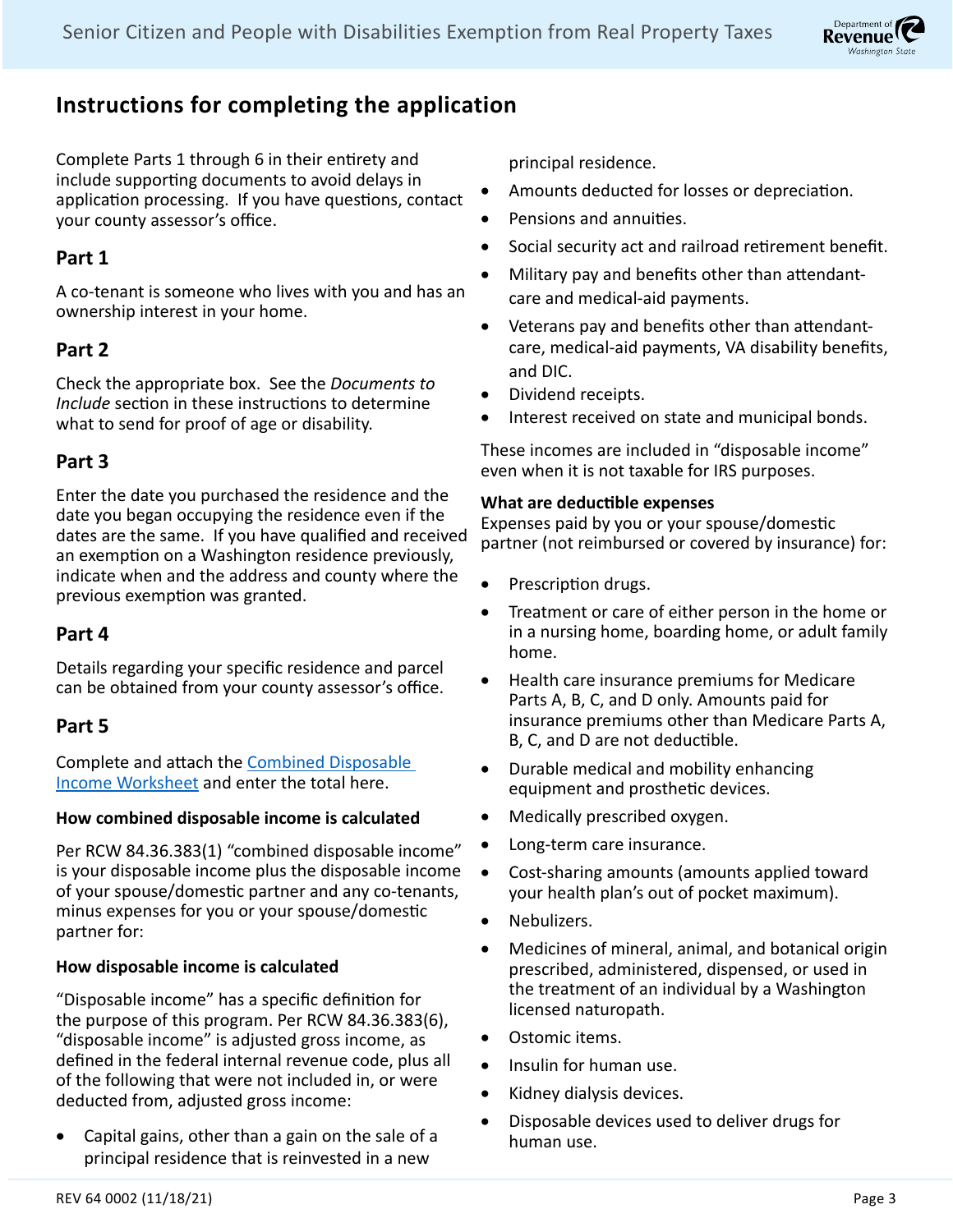

## **Instructions for completing the application**

Complete Parts 1 through 6 in their entirety and include supporting documents to avoid delays in application processing. If you have questions, contact your county assessor's office.

## **Part 1**

A co-tenant is someone who lives with you and has an ownership interest in your home.

## **Part 2**

Check the appropriate box. See the *Documents to Include* section in these instructions to determine what to send for proof of age or disability.

## **Part 3**

Enter the date you purchased the residence and the date you began occupying the residence even if the dates are the same. If you have qualified and received an exemption on a Washington residence previously, indicate when and the address and county where the previous exemption was granted.

## **Part 4**

Details regarding your specific residence and parcel can be obtained from your county assessor's office.

## **Part 5**

Complete and attach the [Combined Disposable](http://dor.wa.gov/sites/default/files/legacy/Docs/forms/PropTx/Forms/63-0036.pdf)  [Income Worksheet](http://dor.wa.gov/sites/default/files/legacy/Docs/forms/PropTx/Forms/63-0036.pdf) and enter the total here.

#### **How combined disposable income is calculated**

Per RCW 84.36.383(1) "combined disposable income" is your disposable income plus the disposable income of your spouse/domestic partner and any co-tenants, minus expenses for you or your spouse/domestic partner for:

#### **How disposable income is calculated**

"Disposable income" has a specific definition for the purpose of this program. Per RCW 84.36.383(6), "disposable income" is adjusted gross income, as defined in the federal internal revenue code, plus all of the following that were not included in, or were deducted from, adjusted gross income:

• Capital gains, other than a gain on the sale of a principal residence that is reinvested in a new

principal residence.

- Amounts deducted for losses or depreciation.
- • Pensions and annuities.
- • Social security act and railroad retirement benefit.
- Military pay and benefits other than attendantcare and medical-aid payments.
- • Veterans pay and benefits other than attendantcare, medical-aid payments, VA disability benefits, and DIC.
- Dividend receipts.
- Interest received on state and municipal bonds.

These incomes are included in "disposable income" even when it is not taxable for IRS purposes.

#### **What are deductible expenses**

Expenses paid by you or your spouse/domestic partner (not reimbursed or covered by insurance) for:

- Prescription drugs.
- Treatment or care of either person in the home or in a nursing home, boarding home, or adult family home.
- • Health care insurance premiums for Medicare Parts A, B, C, and D only. Amounts paid for insurance premiums other than Medicare Parts A, B, C, and D are not deductible.
- Durable medical and mobility enhancing equipment and prosthetic devices.
- Medically prescribed oxygen.
- Long-term care insurance.
- • Cost-sharing amounts (amounts applied toward your health plan's out of pocket maximum).
- Nebulizers.
- Medicines of mineral, animal, and botanical origin prescribed, administered, dispensed, or used in the treatment of an individual by a Washington licensed naturopath.
- Ostomic items.
- Insulin for human use.
- • Kidney dialysis devices.
- Disposable devices used to deliver drugs for human use.